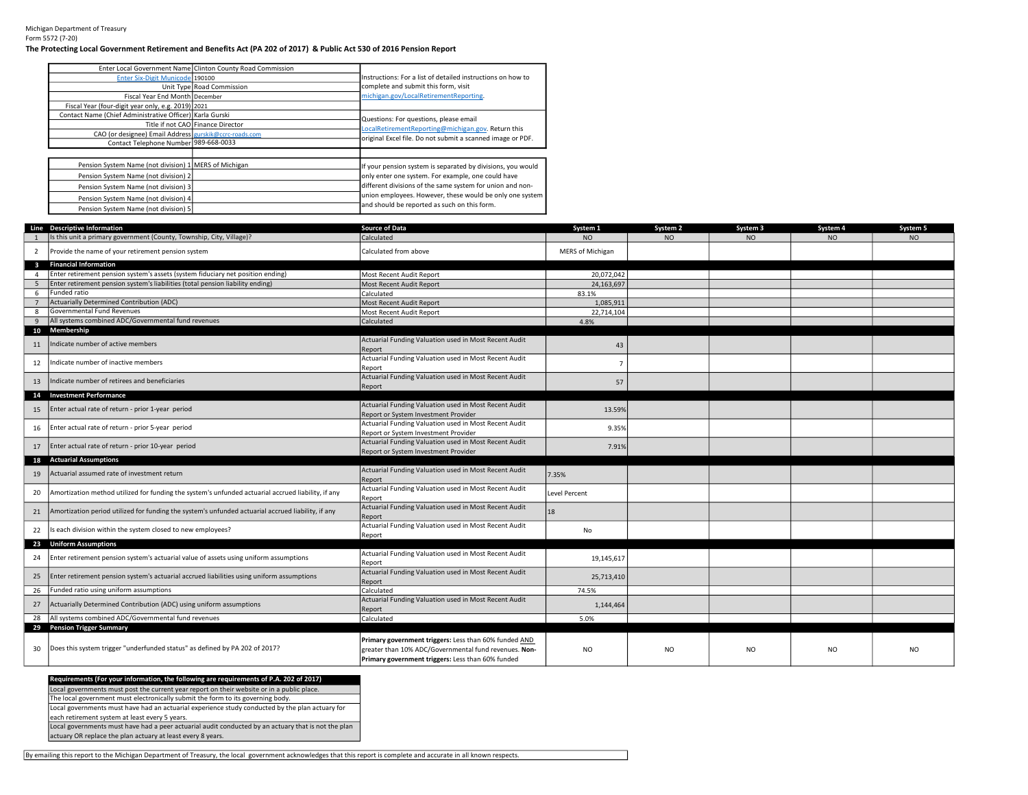## The Protecting Local Government Retirement and Benefits Act (PA 202 of 2017) & Public Act 530 of 2016 Pension Report

|                                                          | Enter Local Government Name Clinton County Road Commission |                                                             |
|----------------------------------------------------------|------------------------------------------------------------|-------------------------------------------------------------|
| Enter Six-Digit Municode 190100                          |                                                            | Instructions: For a list of detailed instructions on how to |
|                                                          | Unit Type Road Commission                                  | complete and submit this form, visit                        |
| Fiscal Year End Month December                           |                                                            | michigan.gov/LocalRetirementReporting.                      |
| Fiscal Year (four-digit year only, e.g. 2019) 2021       |                                                            |                                                             |
| Contact Name (Chief Administrative Officer) Karla Gurski |                                                            | Questions: For questions, please email                      |
|                                                          | Title if not CAO Finance Director                          | LocalRetirementReporting@michigan.gov. Return this          |
| CAO (or designee) Email Address gurskik@ccrc-roads.com   |                                                            |                                                             |
| Contact Telephone Number 989-668-0033                    |                                                            | original Excel file. Do not submit a scanned image or PDF.  |
|                                                          |                                                            |                                                             |
| Pension System Name (not division) 1   MERS of Michigan  |                                                            | If your pension system is separated by divisions, you would |
| Pension System Name (not division) 2                     |                                                            | only enter one system. For example, one could have          |
| Pension System Name (not division) 3                     |                                                            | different divisions of the same system for union and non-   |
| Pension System Name (not division) 4                     |                                                            | union employees. However, these would be only one system    |
| Pension System Name (not division) 5                     |                                                            | and should be reported as such on this form.                |

|                         | Line Descriptive Information                                                                       | <b>Source of Data</b>                                                                                                                                               | System 1                | System 2       | System 3       | System 4  | System 5       |
|-------------------------|----------------------------------------------------------------------------------------------------|---------------------------------------------------------------------------------------------------------------------------------------------------------------------|-------------------------|----------------|----------------|-----------|----------------|
|                         | Is this unit a primary government (County, Township, City, Village)?                               | Calculated                                                                                                                                                          | N <sub>O</sub>          | N <sub>O</sub> | <b>NO</b>      | <b>NO</b> | N <sub>O</sub> |
| $\overline{2}$          | Provide the name of your retirement pension system                                                 | Calculated from above                                                                                                                                               | <b>MERS of Michigan</b> |                |                |           |                |
| $\overline{\mathbf{3}}$ | <b>Financial Information</b>                                                                       |                                                                                                                                                                     |                         |                |                |           |                |
| $\overline{a}$          | Enter retirement pension system's assets (system fiduciary net position ending)                    | Most Recent Audit Report                                                                                                                                            | 20,072,042              |                |                |           |                |
| 5                       | Enter retirement pension system's liabilities (total pension liability ending)                     | Most Recent Audit Report                                                                                                                                            | 24,163,697              |                |                |           |                |
| 6                       | Funded ratio                                                                                       | Calculated                                                                                                                                                          | 83.1%                   |                |                |           |                |
| $\overline{7}$          | Actuarially Determined Contribution (ADC)                                                          | Most Recent Audit Report                                                                                                                                            | 1,085,911               |                |                |           |                |
| 8                       | Governmental Fund Revenues                                                                         | Most Recent Audit Report                                                                                                                                            | 22,714,104              |                |                |           |                |
| 9                       | All systems combined ADC/Governmental fund revenues                                                | Calculated                                                                                                                                                          | 4.8%                    |                |                |           |                |
| 11                      | 10 Membership<br>Indicate number of active members                                                 | Actuarial Funding Valuation used in Most Recent Audit<br>Report                                                                                                     | 43                      |                |                |           |                |
| 12                      | Indicate number of inactive members                                                                | Actuarial Funding Valuation used in Most Recent Audit<br>Report                                                                                                     | $\overline{7}$          |                |                |           |                |
| 13                      | Indicate number of retirees and beneficiaries                                                      | Actuarial Funding Valuation used in Most Recent Audit<br>Report                                                                                                     | 57                      |                |                |           |                |
|                         | 14 Investment Performance                                                                          |                                                                                                                                                                     |                         |                |                |           |                |
| 15                      | Enter actual rate of return - prior 1-year period                                                  | Actuarial Funding Valuation used in Most Recent Audit<br>Report or System Investment Provider                                                                       | 13.59%                  |                |                |           |                |
| 16                      | Enter actual rate of return - prior 5-year period                                                  | Actuarial Funding Valuation used in Most Recent Audit<br>Report or System Investment Provider                                                                       | 9.35%                   |                |                |           |                |
| 17                      | Enter actual rate of return - prior 10-year period                                                 | Actuarial Funding Valuation used in Most Recent Audit<br>Report or System Investment Provider                                                                       | 7.91%                   |                |                |           |                |
|                         | 18 Actuarial Assumptions                                                                           |                                                                                                                                                                     |                         |                |                |           |                |
| 19                      | Actuarial assumed rate of investment return                                                        | Actuarial Funding Valuation used in Most Recent Audit<br>Report                                                                                                     | 7.35%                   |                |                |           |                |
| 20                      | Amortization method utilized for funding the system's unfunded actuarial accrued liability, if any | Actuarial Funding Valuation used in Most Recent Audit<br>Report                                                                                                     | <b>Level Percent</b>    |                |                |           |                |
| 21                      | Amortization period utilized for funding the system's unfunded actuarial accrued liability, if any | Actuarial Funding Valuation used in Most Recent Audit<br>Report                                                                                                     | 18                      |                |                |           |                |
| 22                      | Is each division within the system closed to new employees?                                        | Actuarial Funding Valuation used in Most Recent Audit<br>Report                                                                                                     | No                      |                |                |           |                |
|                         | 23 Uniform Assumptions                                                                             |                                                                                                                                                                     |                         |                |                |           |                |
| 24                      | Enter retirement pension system's actuarial value of assets using uniform assumptions              | Actuarial Funding Valuation used in Most Recent Audit<br>Report                                                                                                     | 19,145,617              |                |                |           |                |
| 25                      | Enter retirement pension system's actuarial accrued liabilities using uniform assumptions          | Actuarial Funding Valuation used in Most Recent Audit<br>Report                                                                                                     | 25,713,410              |                |                |           |                |
| 26                      | Funded ratio using uniform assumptions                                                             | Calculated                                                                                                                                                          | 74.5%                   |                |                |           |                |
| 27                      | Actuarially Determined Contribution (ADC) using uniform assumptions                                | Actuarial Funding Valuation used in Most Recent Audit<br>Report                                                                                                     | 1,144,464               |                |                |           |                |
| 28                      | All systems combined ADC/Governmental fund revenues                                                | Calculated                                                                                                                                                          | 5.0%                    |                |                |           |                |
|                         | 29 Pension Trigger Summary                                                                         |                                                                                                                                                                     |                         |                |                |           |                |
| 30                      | Does this system trigger "underfunded status" as defined by PA 202 of 2017?                        | Primary government triggers: Less than 60% funded AND<br>greater than 10% ADC/Governmental fund revenues. Non-<br>Primary government triggers: Less than 60% funded | <b>NO</b>               | N <sub>O</sub> | N <sub>O</sub> | NO.       | N <sub>O</sub> |

## Requirements (For your information, the following are requirements of P.A. 202 of 2017)

Local governments must post the current year report on their website or in a public place.

Local governments must have had an actuarial experience study conducted by the plan actuary for The local government must electronically submit the form to its governing body.

each retirement system at least every 5 years.

Local governments must have had a peer actuarial audit conducted by an actuary that is not the plan actuary OR replace the plan actuary at least every 8 years.

By emailing this report to the Michigan Department of Treasury, the local government acknowledges that this report is complete and accurate in all known respects.